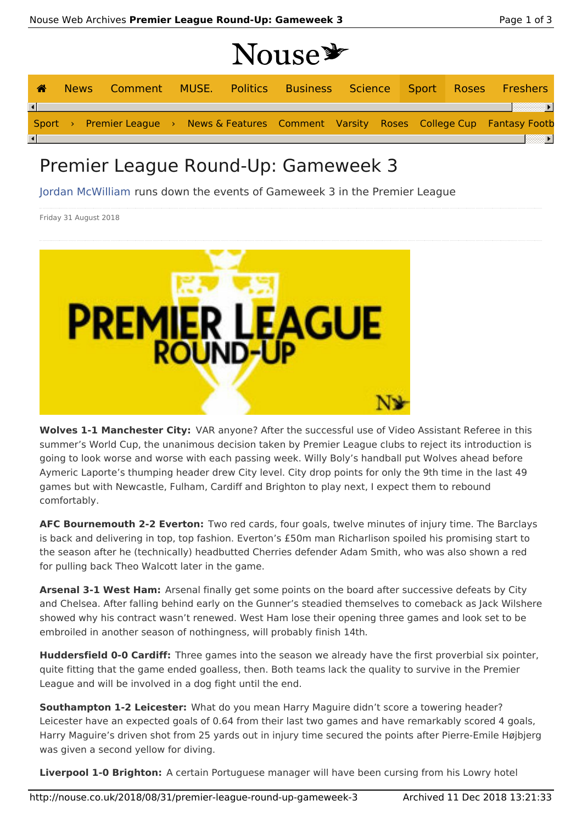## Nouse \*

| ☎                      |  |  |  |  |  | News Comment MUSE. Politics Business Science Sport Roses Freshers                        |
|------------------------|--|--|--|--|--|------------------------------------------------------------------------------------------|
| $\left  \cdot \right $ |  |  |  |  |  | Sport > Premier League > News & Features Comment Varsity Roses College Cup Fantasy Footb |
| $\vert \cdot \vert$    |  |  |  |  |  |                                                                                          |

## Premier League Round-Up: Gameweek 3

Jordan McWilliam runs down the events of Gameweek 3 in the Premier League

Friday 31 August 2018



**Wolves 1-1 Manchester City:** VAR anyone? After the successful use of Video Assistant Referee in this summer's World Cup, the unanimous decision taken by Premier League clubs to reject its introduction is going to look worse and worse with each passing week. Willy Boly's handball put Wolves ahead before Aymeric Laporte's thumping header drew City level. City drop points for only the 9th time in the last 49 games but with Newcastle, Fulham, Cardiff and Brighton to play next, I expect them to rebound comfortably.

**AFC Bournemouth 2-2 Everton:** Two red cards, four goals, twelve minutes of injury time. The Barclays is back and delivering in top, top fashion. Everton's £50m man Richarlison spoiled his promising start to the season after he (technically) headbutted Cherries defender Adam Smith, who was also shown a red for pulling back Theo Walcott later in the game.

**Arsenal 3-1 West Ham:** Arsenal finally get some points on the board after successive defeats by City and Chelsea. After falling behind early on the Gunner's steadied themselves to comeback as Jack Wilshere showed why his contract wasn't renewed. West Ham lose their opening three games and look set to be embroiled in another season of nothingness, will probably finish 14th.

**Huddersfield 0-0 Cardiff:** Three games into the season we already have the first proverbial six pointer, quite fitting that the game ended goalless, then. Both teams lack the quality to survive in the Premier League and will be involved in a dog fight until the end.

**Southampton 1-2 Leicester:** What do you mean Harry Maguire didn't score a towering header? Leicester have an expected goals of 0.64 from their last two games and have remarkably scored 4 goals, Harry Maguire's driven shot from 25 yards out in injury time secured the points after Pierre-Emile Højbjerg was given a second yellow for diving.

**Liverpool 1-0 Brighton:** A certain Portuguese manager will have been cursing from his Lowry hotel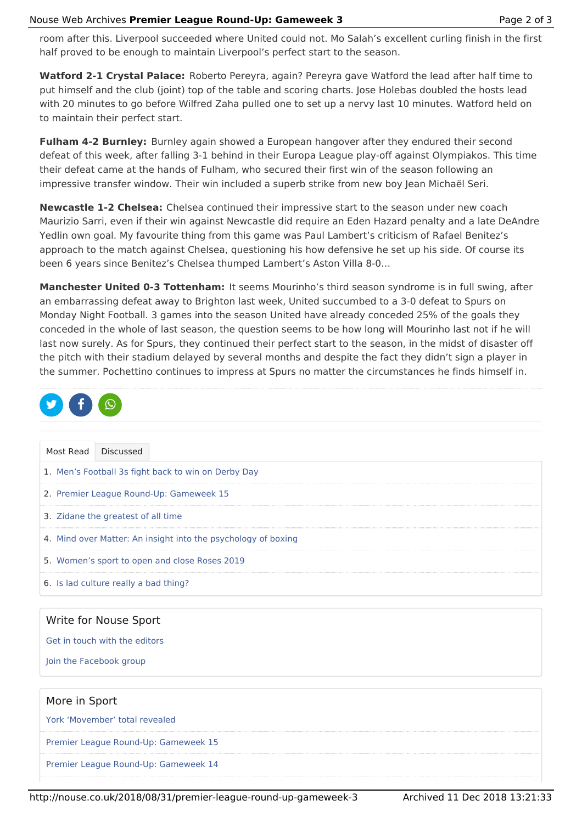room after this. Liverpool succeeded where United could not. Mo Salah's excellent curling finish in the first half proved to be enough to maintain Liverpool's perfect start to the season.

**Watford 2-1 Crystal Palace:** Roberto Pereyra, again? Pereyra gave Watford the lead after half time to put himself and the club (joint) top of the table and scoring charts. Jose Holebas doubled the hosts lead with 20 minutes to go before Wilfred Zaha pulled one to set up a nervy last 10 minutes. Watford held on to maintain their perfect start.

**Fulham 4-2 Burnley:** Burnley again showed a European hangover after they endured their second defeat of this week, after falling 3-1 behind in their Europa League play-off against Olympiakos. This time their defeat came at the hands of Fulham, who secured their first win of the season following an impressive transfer window. Their win included a superb strike from new boy Jean Michaël Seri.

**Newcastle 1-2 Chelsea:** Chelsea continued their impressive start to the season under new coach Maurizio Sarri, even if their win against Newcastle did require an Eden Hazard penalty and a late DeAndre Yedlin own goal. My favourite thing from this game was Paul Lambert's criticism of Rafael Benitez's approach to the match against Chelsea, questioning his how defensive he set up his side. Of course its been 6 years since Benitez's Chelsea thumped Lambert's Aston Villa 8-0…

**Manchester United 0-3 Tottenham:** It seems Mourinho's third season syndrome is in full swing, after an embarrassing defeat away to Brighton last week, United succumbed to a 3-0 defeat to Spurs on Monday Night Football. 3 games into the season United have already conceded 25% of the goals they conceded in the whole of last season, the question seems to be how long will Mourinho last not if he will last now surely. As for Spurs, they continued their perfect start to the season, in the midst of disaster off the pitch with their stadium delayed by several months and despite the fact they didn't sign a player in the summer. Pochettino continues to impress at Spurs no matter the circumstances he finds himself in.

| $\bullet$ f $\odot$ |  |
|---------------------|--|
|                     |  |

| Most Read                          | <b>Discussed</b>                                              |  |  |  |
|------------------------------------|---------------------------------------------------------------|--|--|--|
|                                    | 1. Men's Football 3s fight back to win on Derby Day           |  |  |  |
|                                    | 2. Premier League Round-Up: Gameweek 15                       |  |  |  |
| 3. Zidane the greatest of all time |                                                               |  |  |  |
|                                    | 4. Mind over Matter: An insight into the psychology of boxing |  |  |  |
|                                    | 5. Women's sport to open and close Roses 2019                 |  |  |  |
|                                    | 6. Is lad culture really a bad thing?                         |  |  |  |
|                                    | Write for Nouse Sport                                         |  |  |  |

Get in touch with the editors

Join the Facebook group

| More in Sport                        |  |
|--------------------------------------|--|
| York 'Movember' total revealed       |  |
| Premier League Round-Up: Gameweek 15 |  |
| Premier League Round-Up: Gameweek 14 |  |